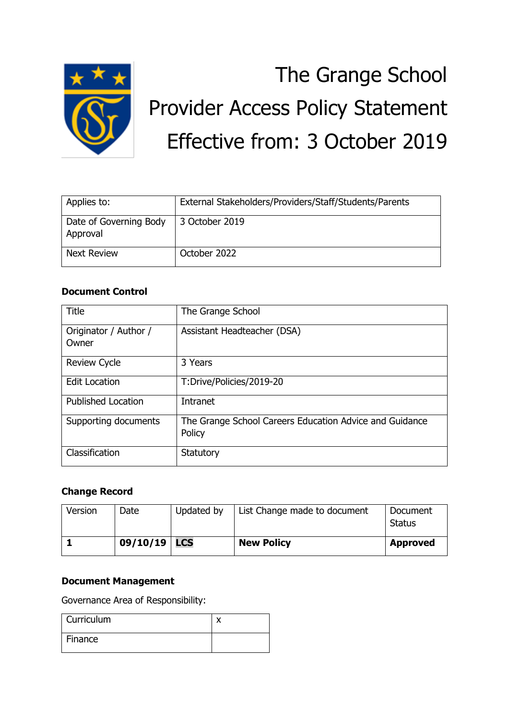

# The Grange School Provider Access Policy Statement Effective from: 3 October 2019

| Applies to:                        | External Stakeholders/Providers/Staff/Students/Parents |
|------------------------------------|--------------------------------------------------------|
| Date of Governing Body<br>Approval | 3 October 2019                                         |
| <b>Next Review</b>                 | October 2022                                           |

#### **Document Control**

| Title                          | The Grange School                                                 |  |
|--------------------------------|-------------------------------------------------------------------|--|
| Originator / Author /<br>Owner | Assistant Headteacher (DSA)                                       |  |
| <b>Review Cycle</b>            | 3 Years                                                           |  |
| <b>Edit Location</b>           | T:Drive/Policies/2019-20                                          |  |
| <b>Published Location</b>      | Intranet                                                          |  |
| Supporting documents           | The Grange School Careers Education Advice and Guidance<br>Policy |  |
| Classification                 | Statutory                                                         |  |

## **Change Record**

| Version | Date           | Updated by | List Change made to document | Document<br><b>Status</b> |
|---------|----------------|------------|------------------------------|---------------------------|
|         | 09/10/19   LCS |            | <b>New Policy</b>            | <b>Approved</b>           |

#### **Document Management**

Governance Area of Responsibility:

| Curriculum |  |
|------------|--|
| Finance    |  |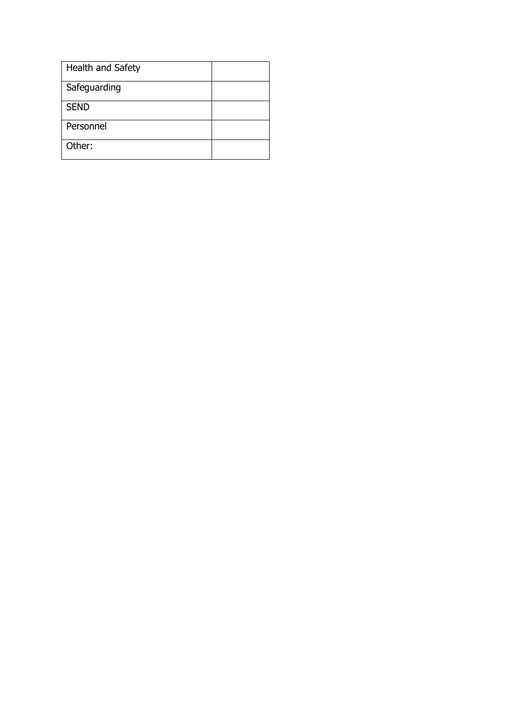| Health and Safety |
|-------------------|
| Safeguarding      |
| <b>SEND</b>       |
| Personnel         |
| Other:            |
|                   |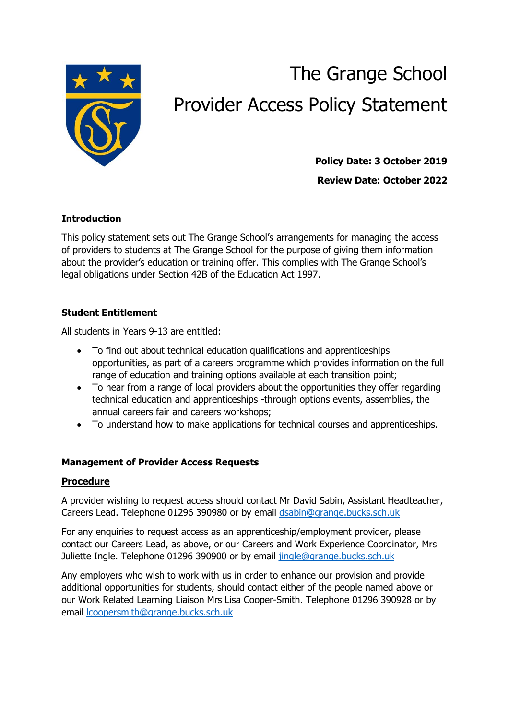

# The Grange School Provider Access Policy Statement

**Policy Date: 3 October 2019 Review Date: October 2022**

### **Introduction**

This policy statement sets out The Grange School's arrangements for managing the access of providers to students at The Grange School for the purpose of giving them information about the provider's education or training offer. This complies with The Grange School's legal obligations under Section 42B of the Education Act 1997.

#### **Student Entitlement**

All students in Years 9-13 are entitled:

- To find out about technical education qualifications and apprenticeships opportunities, as part of a careers programme which provides information on the full range of education and training options available at each transition point;
- To hear from a range of local providers about the opportunities they offer regarding technical education and apprenticeships -through options events, assemblies, the annual careers fair and careers workshops;
- To understand how to make applications for technical courses and apprenticeships.

#### **Management of Provider Access Requests**

#### **Procedure**

A provider wishing to request access should contact Mr David Sabin, Assistant Headteacher, Careers Lead. Telephone 01296 390980 or by email [dsabin@grange.bucks.sch.uk](mailto:dsabin@grange.bucks.sch.uk)

For any enquiries to request access as an apprenticeship/employment provider, please contact our Careers Lead, as above, or our Careers and Work Experience Coordinator, Mrs Juliette Ingle. Telephone 01296 390900 or by email [jingle@grange.bucks.sch.uk](mailto:jingle@grange.bucks.sch.uk)

Any employers who wish to work with us in order to enhance our provision and provide additional opportunities for students, should contact either of the people named above or our Work Related Learning Liaison Mrs Lisa Cooper-Smith. Telephone 01296 390928 or by email [lcoopersmith@grange.bucks.sch.uk](mailto:lcoopersmith@grange.bucks.sch.uk)